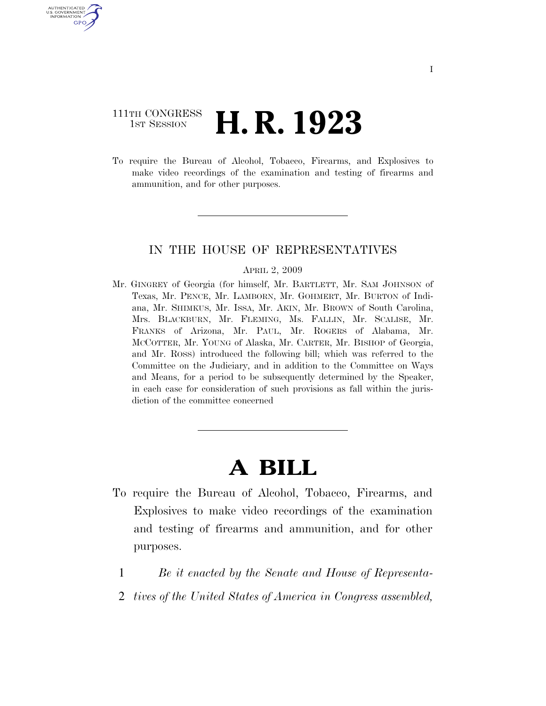# 111TH CONGRESS <sup>TH CONGRESS</sup> **H. R. 1923**

U.S. GOVERNMENT GPO

> To require the Bureau of Alcohol, Tobacco, Firearms, and Explosives to make video recordings of the examination and testing of firearms and ammunition, and for other purposes.

## IN THE HOUSE OF REPRESENTATIVES

#### APRIL 2, 2009

Mr. GINGREY of Georgia (for himself, Mr. BARTLETT, Mr. SAM JOHNSON of Texas, Mr. PENCE, Mr. LAMBORN, Mr. GOHMERT, Mr. BURTON of Indiana, Mr. SHIMKUS, Mr. ISSA, Mr. AKIN, Mr. BROWN of South Carolina, Mrs. BLACKBURN, Mr. FLEMING, Ms. FALLIN, Mr. SCALISE, Mr. FRANKS of Arizona, Mr. PAUL, Mr. ROGERS of Alabama, Mr. MCCOTTER, Mr. YOUNG of Alaska, Mr. CARTER, Mr. BISHOP of Georgia, and Mr. ROSS) introduced the following bill; which was referred to the Committee on the Judiciary, and in addition to the Committee on Ways and Means, for a period to be subsequently determined by the Speaker, in each case for consideration of such provisions as fall within the jurisdiction of the committee concerned

# **A BILL**

- To require the Bureau of Alcohol, Tobacco, Firearms, and Explosives to make video recordings of the examination and testing of firearms and ammunition, and for other purposes.
	- 1 *Be it enacted by the Senate and House of Representa-*
	- 2 *tives of the United States of America in Congress assembled,*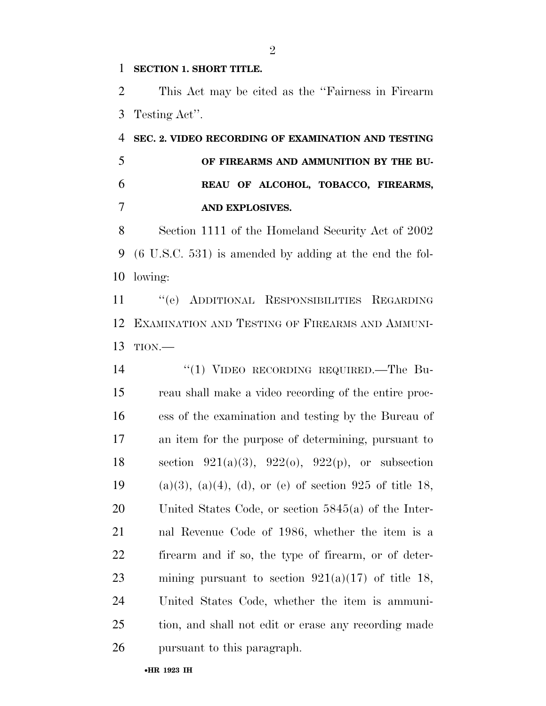### **SECTION 1. SHORT TITLE.**

 This Act may be cited as the ''Fairness in Firearm Testing Act''.

 **SEC. 2. VIDEO RECORDING OF EXAMINATION AND TESTING OF FIREARMS AND AMMUNITION BY THE BU- REAU OF ALCOHOL, TOBACCO, FIREARMS, AND EXPLOSIVES.** 

 Section 1111 of the Homeland Security Act of 2002 (6 U.S.C. 531) is amended by adding at the end the fol-lowing:

 ''(e) ADDITIONAL RESPONSIBILITIES REGARDING EXAMINATION AND TESTING OF FIREARMS AND AMMUNI-TION.—

14 "(1) VIDEO RECORDING REQUIRED.—The Bu- reau shall make a video recording of the entire proc- ess of the examination and testing by the Bureau of an item for the purpose of determining, pursuant to 18 section  $921(a)(3)$ ,  $922(b)$ ,  $922(p)$ , or subsection 19 (a)(3), (a)(4), (d), or (e) of section 925 of title 18, United States Code, or section 5845(a) of the Inter- nal Revenue Code of 1986, whether the item is a firearm and if so, the type of firearm, or of deter-23 mining pursuant to section  $921(a)(17)$  of title 18, United States Code, whether the item is ammuni- tion, and shall not edit or erase any recording made pursuant to this paragraph.